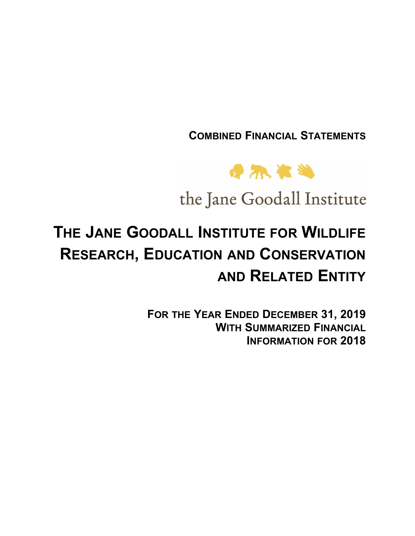**COMBINED FINANCIAL STATEMENTS**



the Jane Goodall Institute

# **THE JANE GOODALL INSTITUTE FOR WILDLIFE RESEARCH, EDUCATION AND CONSERVATION AND RELATED ENTITY**

**FOR THE YEAR ENDED DECEMBER 31, 2019 WITH SUMMARIZED FINANCIAL INFORMATION FOR 2018**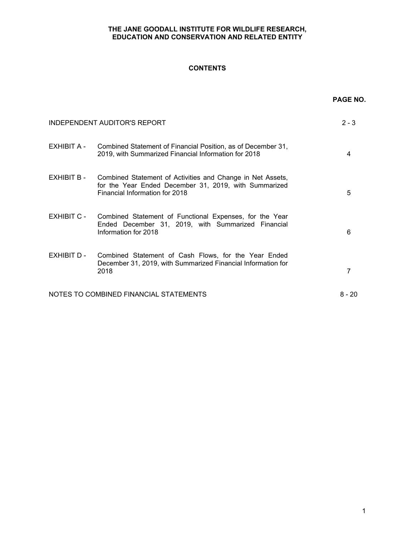## **CONTENTS**

|             |                                                                                                                                                       | PAGE NO. |
|-------------|-------------------------------------------------------------------------------------------------------------------------------------------------------|----------|
|             | <b>INDEPENDENT AUDITOR'S REPORT</b>                                                                                                                   | $2 - 3$  |
| EXHIBIT A - | Combined Statement of Financial Position, as of December 31,<br>2019, with Summarized Financial Information for 2018                                  | 4        |
| EXHIBIT B - | Combined Statement of Activities and Change in Net Assets,<br>for the Year Ended December 31, 2019, with Summarized<br>Financial Information for 2018 | 5        |
| EXHIBIT C - | Combined Statement of Functional Expenses, for the Year<br>Ended December 31, 2019, with Summarized Financial<br>Information for 2018                 | 6        |
| EXHIBIT D - | Combined Statement of Cash Flows, for the Year Ended<br>December 31, 2019, with Summarized Financial Information for<br>2018                          | 7        |
|             | NOTES TO COMBINED FINANCIAL STATEMENTS                                                                                                                | $8 - 20$ |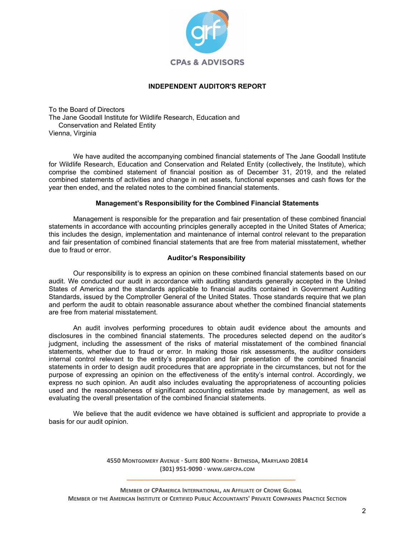

## **INDEPENDENT AUDITOR'S REPORT**

To the Board of Directors The Jane Goodall Institute for Wildlife Research, Education and Conservation and Related Entity Vienna, Virginia

We have audited the accompanying combined financial statements of The Jane Goodall Institute for Wildlife Research, Education and Conservation and Related Entity (collectively, the Institute), which comprise the combined statement of financial position as of December 31, 2019, and the related combined statements of activities and change in net assets, functional expenses and cash flows for the year then ended, and the related notes to the combined financial statements.

## **Management's Responsibility for the Combined Financial Statements**

Management is responsible for the preparation and fair presentation of these combined financial statements in accordance with accounting principles generally accepted in the United States of America; this includes the design, implementation and maintenance of internal control relevant to the preparation and fair presentation of combined financial statements that are free from material misstatement, whether due to fraud or error.

#### **Auditor's Responsibility**

Our responsibility is to express an opinion on these combined financial statements based on our audit. We conducted our audit in accordance with auditing standards generally accepted in the United States of America and the standards applicable to financial audits contained in Government Auditing Standards, issued by the Comptroller General of the United States. Those standards require that we plan and perform the audit to obtain reasonable assurance about whether the combined financial statements are free from material misstatement.

An audit involves performing procedures to obtain audit evidence about the amounts and disclosures in the combined financial statements. The procedures selected depend on the auditor's judgment, including the assessment of the risks of material misstatement of the combined financial statements, whether due to fraud or error. In making those risk assessments, the auditor considers internal control relevant to the entity's preparation and fair presentation of the combined financial statements in order to design audit procedures that are appropriate in the circumstances, but not for the purpose of expressing an opinion on the effectiveness of the entity's internal control. Accordingly, we express no such opinion. An audit also includes evaluating the appropriateness of accounting policies used and the reasonableness of significant accounting estimates made by management, as well as evaluating the overall presentation of the combined financial statements.

We believe that the audit evidence we have obtained is sufficient and appropriate to provide a basis for our audit opinion.

> **4550 MONTGOMERY AVENUE · SUITE 800 NORTH · BETHESDA, MARYLAND 20814 (301) 951-9090 · WWW.GRFCPA.COM \_\_\_\_\_\_\_\_\_\_\_\_\_\_\_\_\_\_\_\_\_\_\_\_\_\_\_\_\_\_\_\_\_\_\_\_\_\_\_\_\_\_\_\_\_\_\_\_\_\_**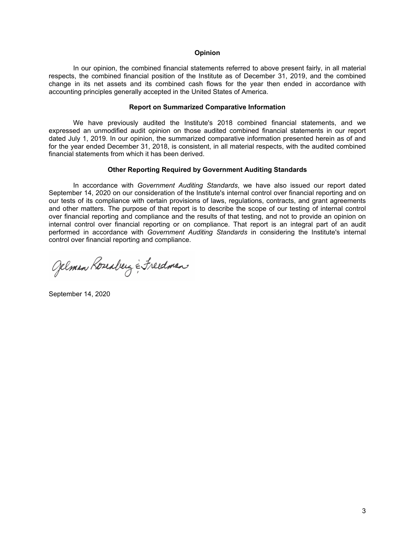#### **Opinion**

In our opinion, the combined financial statements referred to above present fairly, in all material respects, the combined financial position of the Institute as of December 31, 2019, and the combined change in its net assets and its combined cash flows for the year then ended in accordance with accounting principles generally accepted in the United States of America.

#### **Report on Summarized Comparative Information**

We have previously audited the Institute's 2018 combined financial statements, and we expressed an unmodified audit opinion on those audited combined financial statements in our report dated July 1, 2019. In our opinion, the summarized comparative information presented herein as of and for the year ended December 31, 2018, is consistent, in all material respects, with the audited combined financial statements from which it has been derived.

#### **Other Reporting Required by Government Auditing Standards**

In accordance with *Government Auditing Standards*, we have also issued our report dated September 14, 2020 on our consideration of the Institute's internal control over financial reporting and on our tests of its compliance with certain provisions of laws, regulations, contracts, and grant agreements and other matters. The purpose of that report is to describe the scope of our testing of internal control over financial reporting and compliance and the results of that testing, and not to provide an opinion on internal control over financial reporting or on compliance. That report is an integral part of an audit performed in accordance with *Government Auditing Standards* in considering the Institute's internal control over financial reporting and compliance.

Gelman Koseaberg & Freedman

September 14, 2020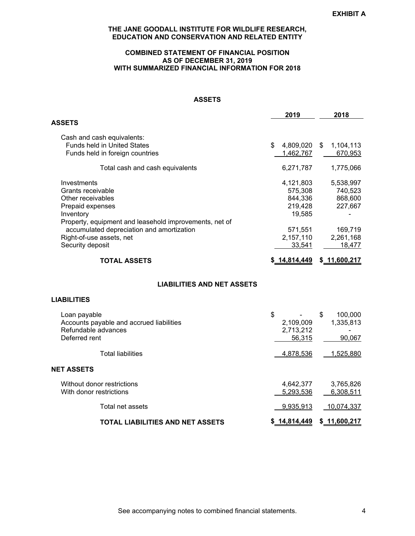#### **COMBINED STATEMENT OF FINANCIAL POSITION AS OF DECEMBER 31, 2019 WITH SUMMARIZED FINANCIAL INFORMATION FOR 2018**

#### **ASSETS**

|                                                                                                                                                  | 2019                                                 |     | 2018                                       |
|--------------------------------------------------------------------------------------------------------------------------------------------------|------------------------------------------------------|-----|--------------------------------------------|
| <b>ASSETS</b>                                                                                                                                    |                                                      |     |                                            |
| Cash and cash equivalents:<br><b>Funds held in United States</b><br>Funds held in foreign countries                                              | \$<br>4,809,020<br>1,462,767                         | \$. | 1,104,113<br>670.953                       |
| Total cash and cash equivalents                                                                                                                  | 6,271,787                                            |     | 1,775,066                                  |
| Investments<br>Grants receivable<br>Other receivables<br>Prepaid expenses<br>Inventory<br>Property, equipment and leasehold improvements, net of | 4,121,803<br>575,308<br>844.336<br>219,428<br>19,585 |     | 5,538,997<br>740,523<br>868,600<br>227,667 |
| accumulated depreciation and amortization<br>Right-of-use assets, net<br>Security deposit                                                        | 571,551<br>2,157,110<br>33,541                       |     | 169,719<br>2,261,168<br>18,477             |
| TOTAL ASSETS                                                                                                                                     | \$14,814,449                                         |     | \$_11,600,217                              |

## **LIABILITIES AND NET ASSETS**

## **LIABILITIES**

| Loan payable                             | \$           | \$<br>100,000 |
|------------------------------------------|--------------|---------------|
| Accounts payable and accrued liabilities | 2,109,009    | 1,335,813     |
| Refundable advances                      | 2,713,212    |               |
| Deferred rent                            | 56,315       | 90,067        |
| <b>Total liabilities</b>                 | 4,878,536    | 1,525,880     |
| <b>NET ASSETS</b>                        |              |               |
| Without donor restrictions               | 4,642,377    | 3,765,826     |
| With donor restrictions                  | 5.293.536    | 6,308,511     |
| Total net assets                         | 9.935.913    | 10,074,337    |
| <b>TOTAL LIABILITIES AND NET ASSETS</b>  | \$14,814,449 | \$11,600.217  |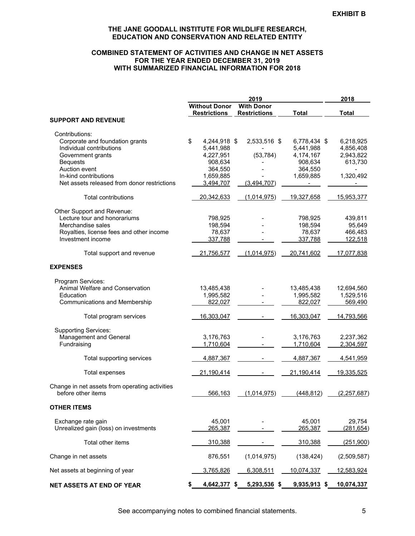#### **COMBINED STATEMENT OF ACTIVITIES AND CHANGE IN NET ASSETS FOR THE YEAR ENDED DECEMBER 31, 2019 WITH SUMMARIZED FINANCIAL INFORMATION FOR 2018**

|                                                |                                             | 2019                                     |                | 2018          |
|------------------------------------------------|---------------------------------------------|------------------------------------------|----------------|---------------|
|                                                | <b>Without Donor</b><br><b>Restrictions</b> | <b>With Donor</b><br><b>Restrictions</b> | <b>Total</b>   | <b>Total</b>  |
| <b>SUPPORT AND REVENUE</b>                     |                                             |                                          |                |               |
| Contributions:                                 |                                             |                                          |                |               |
| Corporate and foundation grants                | \$<br>4,244,918 \$                          | 2,533,516 \$                             | 6,778,434 \$   | 6,218,925     |
| Individual contributions                       | 5,441,988                                   |                                          | 5,441,988      | 4,856,408     |
| Government grants                              | 4,227,951                                   | (53, 784)                                | 4,174,167      | 2,943,822     |
| <b>Bequests</b>                                | 908,634                                     |                                          | 908,634        | 613,730       |
| Auction event                                  | 364,550                                     |                                          | 364,550        |               |
| In-kind contributions                          | 1,659,885                                   |                                          | 1,659,885      | 1,320,492     |
| Net assets released from donor restrictions    | 3,494,707                                   | (3,494,707)                              |                |               |
| <b>Total contributions</b>                     | 20,342,633                                  | (1,014,975)                              | 19,327,658     | 15,953,377    |
| Other Support and Revenue:                     |                                             |                                          |                |               |
| Lecture tour and honorariums                   | 798,925                                     |                                          | 798,925        | 439,811       |
| Merchandise sales                              | 198,594                                     |                                          | 198,594        | 95,649        |
| Royalties, license fees and other income       | 78,637                                      |                                          | 78,637         | 466,483       |
| Investment income                              | 337,788                                     |                                          | 337,788        | 122,518       |
| Total support and revenue                      | 21,756,577                                  | (1,014,975)                              | 20,741,602     | 17,077,838    |
| <b>EXPENSES</b>                                |                                             |                                          |                |               |
| Program Services:                              |                                             |                                          |                |               |
| Animal Welfare and Conservation                | 13,485,438                                  |                                          | 13,485,438     | 12,694,560    |
| Education                                      | 1,995,582                                   |                                          | 1,995,582      | 1,529,516     |
| <b>Communications and Membership</b>           | 822,027                                     |                                          | 822,027        | 569,490       |
| Total program services                         | 16,303,047                                  |                                          | 16,303,047     | 14,793,566    |
| <b>Supporting Services:</b>                    |                                             |                                          |                |               |
| Management and General                         | 3,176,763                                   |                                          | 3,176,763      | 2,237,362     |
| Fundraising                                    | 1,710,604                                   |                                          | 1,710,604      | 2,304,597     |
| Total supporting services                      | 4,887,367                                   |                                          | 4,887,367      | 4,541,959     |
| Total expenses                                 | 21,190,414                                  |                                          | 21,190,414     | 19,335,525    |
| Change in net assets from operating activities |                                             |                                          |                |               |
| before other items                             | 566,163                                     | (1,014,975)                              | (448, 812)     | (2, 257, 687) |
| <b>OTHER ITEMS</b>                             |                                             |                                          |                |               |
| Exchange rate gain                             | 45,001                                      |                                          | 45,001         | 29,754        |
| Unrealized gain (loss) on investments          | 265,387                                     |                                          | 265,387        | (281, 654)    |
| Total other items                              | 310,388                                     |                                          | 310,388        | (251,900)     |
| Change in net assets                           | 876,551                                     | (1,014,975)                              | (138, 424)     | (2,509,587)   |
| Net assets at beginning of year                | 3,765,826                                   | 6,308,511                                | 10,074,337     | 12,583,924    |
| NET ASSETS AT END OF YEAR                      | 4,642,377 \$                                | 5,293,536 \$                             | $9,935,913$ \$ | 10,074,337    |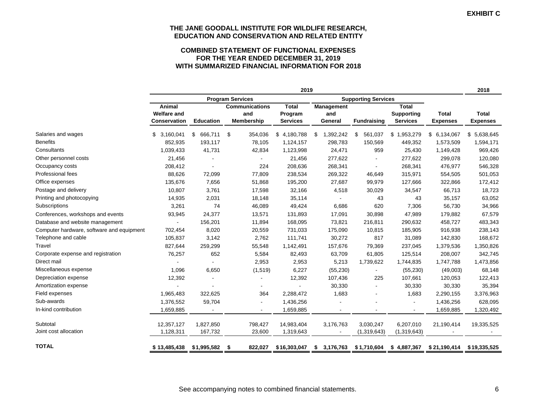#### **COMBINED STATEMENT OF FUNCTIONAL EXPENSES FOR THE YEAR ENDED DECEMBER 31, 2019 WITH SUMMARIZED FINANCIAL INFORMATION FOR 2018**

|                                           | 2019                                         |                  |                                                   |                                            |                              | 2018                       |                                                      |                                 |                                 |
|-------------------------------------------|----------------------------------------------|------------------|---------------------------------------------------|--------------------------------------------|------------------------------|----------------------------|------------------------------------------------------|---------------------------------|---------------------------------|
|                                           |                                              |                  | <b>Program Services</b>                           |                                            |                              | <b>Supporting Services</b> |                                                      |                                 |                                 |
|                                           | Animal<br><b>Welfare and</b><br>Conservation | <b>Education</b> | <b>Communications</b><br>and<br><b>Membership</b> | <b>Total</b><br>Program<br><b>Services</b> | Management<br>and<br>General | <b>Fundraising</b>         | <b>Total</b><br><b>Supporting</b><br><b>Services</b> | <b>Total</b><br><b>Expenses</b> | <b>Total</b><br><b>Expenses</b> |
| Salaries and wages                        | \$3,160,041                                  | 666,711<br>\$    | \$<br>354,036                                     | \$4,180,788                                | 1,392,242<br>S.              | \$<br>561,037              | \$1,953,279                                          | \$<br>6,134,067                 | \$5,638,645                     |
| <b>Benefits</b>                           | 852,935                                      | 193,117          | 78,105                                            | 1,124,157                                  | 298,783                      | 150,569                    | 449,352                                              | 1,573,509                       | 1,594,171                       |
| Consultants                               | 1,039,433                                    | 41,731           | 42,834                                            | 1,123,998                                  | 24,471                       | 959                        | 25,430                                               | 1,149,428                       | 969,426                         |
| Other personnel costs                     | 21,456                                       |                  |                                                   | 21,456                                     | 277,622                      |                            | 277,622                                              | 299,078                         | 120,080                         |
| Occupancy costs                           | 208,412                                      |                  | 224                                               | 208,636                                    | 268,341                      |                            | 268,341                                              | 476,977                         | 546,328                         |
| Professional fees                         | 88,626                                       | 72,099           | 77,809                                            | 238,534                                    | 269,322                      | 46,649                     | 315,971                                              | 554,505                         | 501,053                         |
| Office expenses                           | 135,676                                      | 7,656            | 51,868                                            | 195,200                                    | 27,687                       | 99,979                     | 127,666                                              | 322,866                         | 172,412                         |
| Postage and delivery                      | 10,807                                       | 3,761            | 17,598                                            | 32,166                                     | 4,518                        | 30,029                     | 34,547                                               | 66,713                          | 18,723                          |
| Printing and photocopying                 | 14,935                                       | 2,031            | 18,148                                            | 35,114                                     |                              | 43                         | 43                                                   | 35,157                          | 63,052                          |
| Subscriptions                             | 3,261                                        | 74               | 46,089                                            | 49,424                                     | 6,686                        | 620                        | 7,306                                                | 56,730                          | 34,966                          |
| Conferences, workshops and events         | 93,945                                       | 24,377           | 13,571                                            | 131,893                                    | 17,091                       | 30,898                     | 47,989                                               | 179,882                         | 67,579                          |
| Database and website management           | $\blacksquare$                               | 156,201          | 11,894                                            | 168,095                                    | 73,821                       | 216,811                    | 290,632                                              | 458,727                         | 483,343                         |
| Computer hardware, software and equipment | 702,454                                      | 8,020            | 20,559                                            | 731,033                                    | 175,090                      | 10,815                     | 185,905                                              | 916,938                         | 238,143                         |
| Telephone and cable                       | 105,837                                      | 3,142            | 2,762                                             | 111,741                                    | 30,272                       | 817                        | 31,089                                               | 142,830                         | 168,672                         |
| Travel                                    | 827,644                                      | 259,299          | 55,548                                            | 1,142,491                                  | 157,676                      | 79,369                     | 237,045                                              | 1,379,536                       | 1,350,826                       |
| Corporate expense and registration        | 76,257                                       | 652              | 5,584                                             | 82,493                                     | 63,709                       | 61,805                     | 125,514                                              | 208,007                         | 342,745                         |
| Direct mail                               |                                              |                  | 2,953                                             | 2,953                                      | 5,213                        | 1,739,622                  | 1,744,835                                            | 1,747,788                       | 1,473,856                       |
| Miscellaneous expense                     | 1,096                                        | 6,650            | (1, 519)                                          | 6,227                                      | (55, 230)                    |                            | (55, 230)                                            | (49,003)                        | 68,148                          |
| Depreciation expense                      | 12,392                                       |                  |                                                   | 12,392                                     | 107,436                      | 225                        | 107,661                                              | 120,053                         | 122,413                         |
| Amortization expense                      |                                              |                  |                                                   |                                            | 30,330                       | $\blacksquare$             | 30,330                                               | 30,330                          | 35,394                          |
| Field expenses                            | 1,965,483                                    | 322,625          | 364                                               | 2,288,472                                  | 1,683                        |                            | 1,683                                                | 2,290,155                       | 3,376,963                       |
| Sub-awards                                | 1,376,552                                    | 59,704           |                                                   | 1,436,256                                  |                              |                            |                                                      | 1,436,256                       | 628,095                         |
| In-kind contribution                      | 1,659,885                                    |                  |                                                   | 1,659,885                                  |                              |                            |                                                      | 1,659,885                       | 1,320,492                       |
| Subtotal                                  | 12,357,127                                   | 1,827,850        | 798,427                                           | 14,983,404                                 | 3,176,763                    | 3,030,247                  | 6,207,010                                            | 21,190,414                      | 19,335,525                      |
| Joint cost allocation                     | 1,128,311                                    | 167,732          | 23,600                                            | 1,319,643                                  |                              | (1,319,643)                | (1,319,643)                                          |                                 |                                 |
| <b>TOTAL</b>                              | \$13,485,438                                 | \$1,995,582      | \$<br>822,027                                     | \$16,303,047                               | 3,176,763<br>S.              | \$1,710,604                | \$4,887,367                                          | \$21,190,414                    | \$19,335,525                    |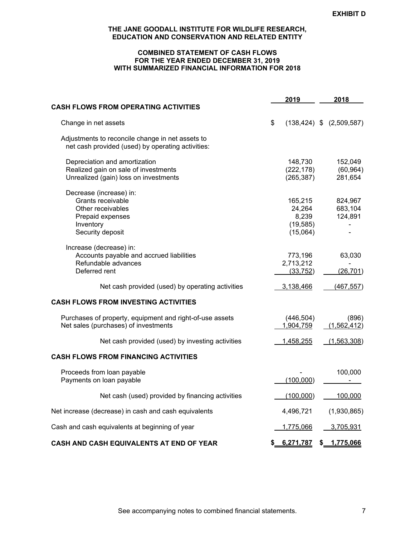#### **COMBINED STATEMENT OF CASH FLOWS FOR THE YEAR ENDED DECEMBER 31, 2019 WITH SUMMARIZED FINANCIAL INFORMATION FOR 2018**

|                                                                                                                        | 2019                                                |     | 2018                            |
|------------------------------------------------------------------------------------------------------------------------|-----------------------------------------------------|-----|---------------------------------|
| <b>CASH FLOWS FROM OPERATING ACTIVITIES</b>                                                                            |                                                     |     |                                 |
| Change in net assets                                                                                                   | \$                                                  |     | $(138, 424)$ \$ $(2, 509, 587)$ |
| Adjustments to reconcile change in net assets to<br>net cash provided (used) by operating activities:                  |                                                     |     |                                 |
| Depreciation and amortization<br>Realized gain on sale of investments<br>Unrealized (gain) loss on investments         | 148,730<br>(222, 178)<br>(265, 387)                 |     | 152,049<br>(60, 964)<br>281,654 |
| Decrease (increase) in:<br>Grants receivable<br>Other receivables<br>Prepaid expenses<br>Inventory<br>Security deposit | 165,215<br>24,264<br>8,239<br>(19, 585)<br>(15,064) |     | 824,967<br>683,104<br>124,891   |
| Increase (decrease) in:<br>Accounts payable and accrued liabilities<br>Refundable advances<br>Deferred rent            | 773,196<br>2,713,212<br>(33, 752)                   |     | 63,030<br>(26, 701)             |
| Net cash provided (used) by operating activities                                                                       | 3,138,466                                           |     | (467, 557)                      |
| <b>CASH FLOWS FROM INVESTING ACTIVITIES</b>                                                                            |                                                     |     |                                 |
| Purchases of property, equipment and right-of-use assets<br>Net sales (purchases) of investments                       | (446, 504)<br>1,904,759                             |     | (896)<br>(1,562,412)            |
| Net cash provided (used) by investing activities                                                                       | 1,458,255                                           |     | (1,563,308)                     |
| <b>CASH FLOWS FROM FINANCING ACTIVITIES</b>                                                                            |                                                     |     |                                 |
| Proceeds from loan payable<br>Payments on loan payable                                                                 | (100,000)                                           |     | 100,000                         |
| Net cash (used) provided by financing activities                                                                       | (100,000)                                           |     | 100,000                         |
| Net increase (decrease) in cash and cash equivalents                                                                   | 4,496,721                                           |     | (1,930,865)                     |
| Cash and cash equivalents at beginning of year                                                                         | <u>1,775,066</u>                                    |     | 3,705,931                       |
| <b>CASH AND CASH EQUIVALENTS AT END OF YEAR</b>                                                                        | \$<br>6,271,787                                     | \$. | 1,775,066                       |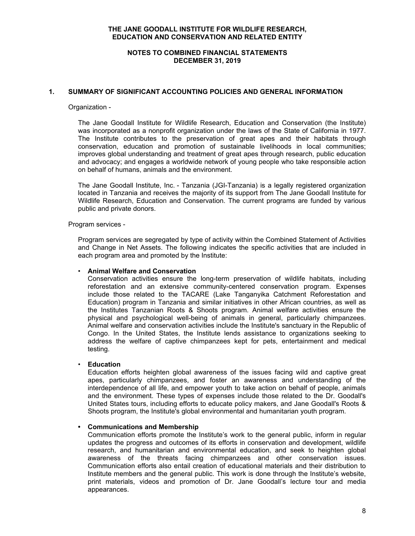## **NOTES TO COMBINED FINANCIAL STATEMENTS DECEMBER 31, 2019**

## **1. SUMMARY OF SIGNIFICANT ACCOUNTING POLICIES AND GENERAL INFORMATION**

#### Organization -

The Jane Goodall Institute for Wildlife Research, Education and Conservation (the Institute) was incorporated as a nonprofit organization under the laws of the State of California in 1977. The Institute contributes to the preservation of great apes and their habitats through conservation, education and promotion of sustainable livelihoods in local communities; improves global understanding and treatment of great apes through research, public education and advocacy; and engages a worldwide network of young people who take responsible action on behalf of humans, animals and the environment.

The Jane Goodall Institute, Inc. - Tanzania (JGI-Tanzania) is a legally registered organization located in Tanzania and receives the majority of its support from The Jane Goodall Institute for Wildlife Research, Education and Conservation. The current programs are funded by various public and private donors.

#### Program services -

Program services are segregated by type of activity within the Combined Statement of Activities and Change in Net Assets. The following indicates the specific activities that are included in each program area and promoted by the Institute:

#### • **Animal Welfare and Conservation**

Conservation activities ensure the long-term preservation of wildlife habitats, including reforestation and an extensive community-centered conservation program. Expenses include those related to the TACARE (Lake Tanganyika Catchment Reforestation and Education) program in Tanzania and similar initiatives in other African countries, as well as the Institutes Tanzanian Roots & Shoots program. Animal welfare activities ensure the physical and psychological well-being of animals in general, particularly chimpanzees. Animal welfare and conservation activities include the Institute's sanctuary in the Republic of Congo. In the United States, the Institute lends assistance to organizations seeking to address the welfare of captive chimpanzees kept for pets, entertainment and medical testing.

#### • **Education**

Education efforts heighten global awareness of the issues facing wild and captive great apes, particularly chimpanzees, and foster an awareness and understanding of the interdependence of all life, and empower youth to take action on behalf of people, animals and the environment. These types of expenses include those related to the Dr. Goodall's United States tours, including efforts to educate policy makers, and Jane Goodall's Roots & Shoots program, the Institute's global environmental and humanitarian youth program.

#### **• Communications and Membership**

Communication efforts promote the Institute's work to the general public, inform in regular updates the progress and outcomes of its efforts in conservation and development, wildlife research, and humanitarian and environmental education, and seek to heighten global awareness of the threats facing chimpanzees and other conservation issues. Communication efforts also entail creation of educational materials and their distribution to Institute members and the general public. This work is done through the Institute's website, print materials, videos and promotion of Dr. Jane Goodall's lecture tour and media appearances.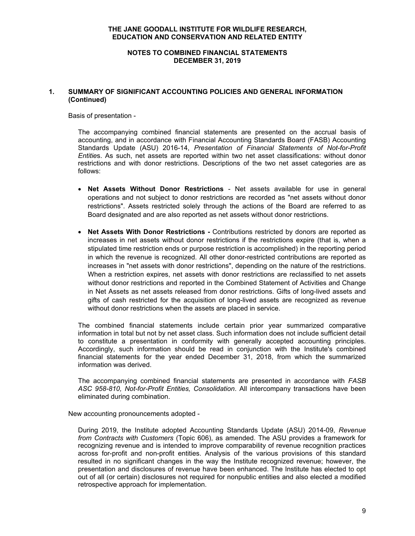#### **NOTES TO COMBINED FINANCIAL STATEMENTS DECEMBER 31, 2019**

## **1. SUMMARY OF SIGNIFICANT ACCOUNTING POLICIES AND GENERAL INFORMATION (Continued)**

Basis of presentation -

The accompanying combined financial statements are presented on the accrual basis of accounting, and in accordance with Financial Accounting Standards Board (FASB) Accounting Standards Update (ASU) 2016-14, *Presentation of Financial Statements of Not-for-Profit Entitie*s. As such, net assets are reported within two net asset classifications: without donor restrictions and with donor restrictions. Descriptions of the two net asset categories are as follows:

- **Net Assets Without Donor Restrictions** Net assets available for use in general operations and not subject to donor restrictions are recorded as "net assets without donor restrictions". Assets restricted solely through the actions of the Board are referred to as Board designated and are also reported as net assets without donor restrictions.
- **Net Assets With Donor Restrictions -** Contributions restricted by donors are reported as increases in net assets without donor restrictions if the restrictions expire (that is, when a stipulated time restriction ends or purpose restriction is accomplished) in the reporting period in which the revenue is recognized. All other donor-restricted contributions are reported as increases in "net assets with donor restrictions", depending on the nature of the restrictions. When a restriction expires, net assets with donor restrictions are reclassified to net assets without donor restrictions and reported in the Combined Statement of Activities and Change in Net Assets as net assets released from donor restrictions. Gifts of long-lived assets and gifts of cash restricted for the acquisition of long-lived assets are recognized as revenue without donor restrictions when the assets are placed in service.

The combined financial statements include certain prior year summarized comparative information in total but not by net asset class. Such information does not include sufficient detail to constitute a presentation in conformity with generally accepted accounting principles. Accordingly, such information should be read in conjunction with the Institute's combined financial statements for the year ended December 31, 2018, from which the summarized information was derived.

The accompanying combined financial statements are presented in accordance with *FASB ASC 958-810, Not-for-Profit Entities, Consolidation*. All intercompany transactions have been eliminated during combination.

New accounting pronouncements adopted -

During 2019, the Institute adopted Accounting Standards Update (ASU) 2014-09, *Revenue from Contracts with Customers* (Topic 606), as amended. The ASU provides a framework for recognizing revenue and is intended to improve comparability of revenue recognition practices across for-profit and non-profit entities. Analysis of the various provisions of this standard resulted in no significant changes in the way the Institute recognized revenue; however, the presentation and disclosures of revenue have been enhanced. The Institute has elected to opt out of all (or certain) disclosures not required for nonpublic entities and also elected a modified retrospective approach for implementation.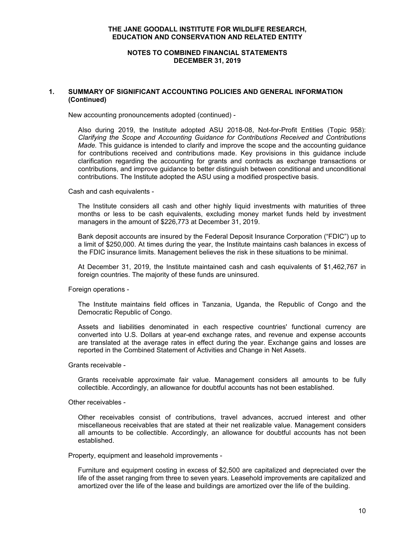#### **NOTES TO COMBINED FINANCIAL STATEMENTS DECEMBER 31, 2019**

## **1. SUMMARY OF SIGNIFICANT ACCOUNTING POLICIES AND GENERAL INFORMATION (Continued)**

New accounting pronouncements adopted (continued) -

Also during 2019, the Institute adopted ASU 2018-08, Not-for-Profit Entities (Topic 958): *Clarifying the Scope and Accounting Guidance for Contributions Received and Contributions Made.* This guidance is intended to clarify and improve the scope and the accounting guidance for contributions received and contributions made. Key provisions in this guidance include clarification regarding the accounting for grants and contracts as exchange transactions or contributions, and improve guidance to better distinguish between conditional and unconditional contributions. The Institute adopted the ASU using a modified prospective basis.

Cash and cash equivalents -

The Institute considers all cash and other highly liquid investments with maturities of three months or less to be cash equivalents, excluding money market funds held by investment managers in the amount of \$226,773 at December 31, 2019.

Bank deposit accounts are insured by the Federal Deposit Insurance Corporation ("FDIC") up to a limit of \$250,000. At times during the year, the Institute maintains cash balances in excess of the FDIC insurance limits. Management believes the risk in these situations to be minimal.

At December 31, 2019, the Institute maintained cash and cash equivalents of \$1,462,767 in foreign countries. The majority of these funds are uninsured.

Foreign operations -

The Institute maintains field offices in Tanzania, Uganda, the Republic of Congo and the Democratic Republic of Congo.

Assets and liabilities denominated in each respective countries' functional currency are converted into U.S. Dollars at year-end exchange rates, and revenue and expense accounts are translated at the average rates in effect during the year. Exchange gains and losses are reported in the Combined Statement of Activities and Change in Net Assets.

Grants receivable -

Grants receivable approximate fair value. Management considers all amounts to be fully collectible. Accordingly, an allowance for doubtful accounts has not been established.

Other receivables -

Other receivables consist of contributions, travel advances, accrued interest and other miscellaneous receivables that are stated at their net realizable value. Management considers all amounts to be collectible. Accordingly, an allowance for doubtful accounts has not been established.

Property, equipment and leasehold improvements -

Furniture and equipment costing in excess of \$2,500 are capitalized and depreciated over the life of the asset ranging from three to seven years. Leasehold improvements are capitalized and amortized over the life of the lease and buildings are amortized over the life of the building.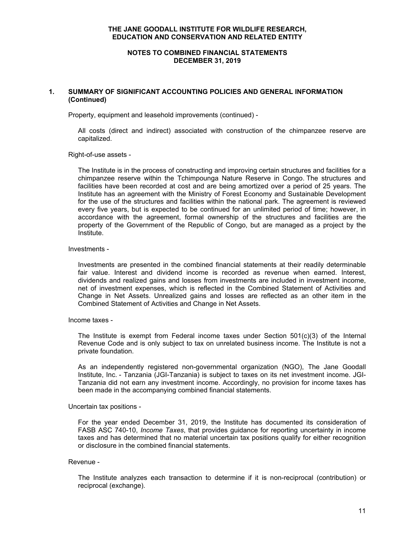## **NOTES TO COMBINED FINANCIAL STATEMENTS DECEMBER 31, 2019**

## **1. SUMMARY OF SIGNIFICANT ACCOUNTING POLICIES AND GENERAL INFORMATION (Continued)**

Property, equipment and leasehold improvements (continued) -

All costs (direct and indirect) associated with construction of the chimpanzee reserve are capitalized.

Right-of-use assets -

The Institute is in the process of constructing and improving certain structures and facilities for a chimpanzee reserve within the Tchimpounga Nature Reserve in Congo. The structures and facilities have been recorded at cost and are being amortized over a period of 25 years. The Institute has an agreement with the Ministry of Forest Economy and Sustainable Development for the use of the structures and facilities within the national park. The agreement is reviewed every five years, but is expected to be continued for an unlimited period of time; however, in accordance with the agreement, formal ownership of the structures and facilities are the property of the Government of the Republic of Congo, but are managed as a project by the Institute.

## Investments -

Investments are presented in the combined financial statements at their readily determinable fair value. Interest and dividend income is recorded as revenue when earned. Interest, dividends and realized gains and losses from investments are included in investment income, net of investment expenses, which is reflected in the Combined Statement of Activities and Change in Net Assets. Unrealized gains and losses are reflected as an other item in the Combined Statement of Activities and Change in Net Assets.

#### Income taxes -

The Institute is exempt from Federal income taxes under Section  $501(c)(3)$  of the Internal Revenue Code and is only subject to tax on unrelated business income. The Institute is not a private foundation.

As an independently registered non-governmental organization (NGO), The Jane Goodall Institute, Inc. - Tanzania (JGI-Tanzania) is subject to taxes on its net investment income. JGI-Tanzania did not earn any investment income. Accordingly, no provision for income taxes has been made in the accompanying combined financial statements.

#### Uncertain tax positions -

For the year ended December 31, 2019, the Institute has documented its consideration of FASB ASC 740-10, *Income Taxes*, that provides guidance for reporting uncertainty in income taxes and has determined that no material uncertain tax positions qualify for either recognition or disclosure in the combined financial statements.

#### Revenue -

The Institute analyzes each transaction to determine if it is non-reciprocal (contribution) or reciprocal (exchange).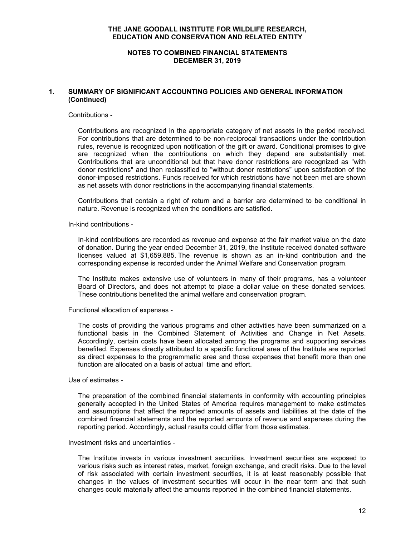#### **NOTES TO COMBINED FINANCIAL STATEMENTS DECEMBER 31, 2019**

## **1. SUMMARY OF SIGNIFICANT ACCOUNTING POLICIES AND GENERAL INFORMATION (Continued)**

#### Contributions -

Contributions are recognized in the appropriate category of net assets in the period received. For contributions that are determined to be non-reciprocal transactions under the contribution rules, revenue is recognized upon notification of the gift or award. Conditional promises to give are recognized when the contributions on which they depend are substantially met. Contributions that are unconditional but that have donor restrictions are recognized as "with donor restrictions" and then reclassified to "without donor restrictions" upon satisfaction of the donor-imposed restrictions. Funds received for which restrictions have not been met are shown as net assets with donor restrictions in the accompanying financial statements.

Contributions that contain a right of return and a barrier are determined to be conditional in nature. Revenue is recognized when the conditions are satisfied.

#### In-kind contributions -

In-kind contributions are recorded as revenue and expense at the fair market value on the date of donation. During the year ended December 31, 2019, the Institute received donated software licenses valued at \$1,659,885. The revenue is shown as an in-kind contribution and the corresponding expense is recorded under the Animal Welfare and Conservation program.

The Institute makes extensive use of volunteers in many of their programs, has a volunteer Board of Directors, and does not attempt to place a dollar value on these donated services. These contributions benefited the animal welfare and conservation program.

Functional allocation of expenses -

The costs of providing the various programs and other activities have been summarized on a functional basis in the Combined Statement of Activities and Change in Net Assets. Accordingly, certain costs have been allocated among the programs and supporting services benefited. Expenses directly attributed to a specific functional area of the Institute are reported as direct expenses to the programmatic area and those expenses that benefit more than one function are allocated on a basis of actual time and effort.

#### Use of estimates -

The preparation of the combined financial statements in conformity with accounting principles generally accepted in the United States of America requires management to make estimates and assumptions that affect the reported amounts of assets and liabilities at the date of the combined financial statements and the reported amounts of revenue and expenses during the reporting period. Accordingly, actual results could differ from those estimates.

## Investment risks and uncertainties -

The Institute invests in various investment securities. Investment securities are exposed to various risks such as interest rates, market, foreign exchange, and credit risks. Due to the level of risk associated with certain investment securities, it is at least reasonably possible that changes in the values of investment securities will occur in the near term and that such changes could materially affect the amounts reported in the combined financial statements.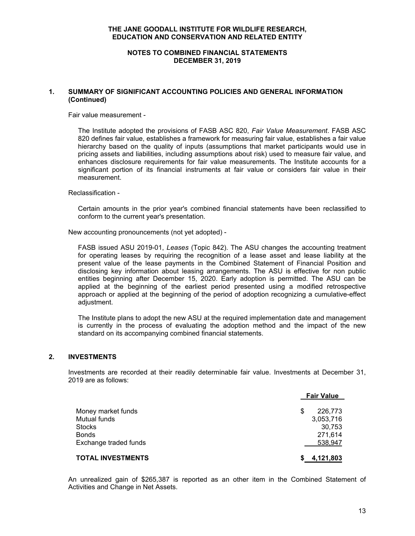#### **NOTES TO COMBINED FINANCIAL STATEMENTS DECEMBER 31, 2019**

## **1. SUMMARY OF SIGNIFICANT ACCOUNTING POLICIES AND GENERAL INFORMATION (Continued)**

Fair value measurement -

The Institute adopted the provisions of FASB ASC 820, *Fair Value Measurement*. FASB ASC 820 defines fair value, establishes a framework for measuring fair value, establishes a fair value hierarchy based on the quality of inputs (assumptions that market participants would use in pricing assets and liabilities, including assumptions about risk) used to measure fair value, and enhances disclosure requirements for fair value measurements. The Institute accounts for a significant portion of its financial instruments at fair value or considers fair value in their measurement.

Reclassification -

Certain amounts in the prior year's combined financial statements have been reclassified to conform to the current year's presentation.

New accounting pronouncements (not yet adopted) -

FASB issued ASU 2019-01, *Leases* (Topic 842). The ASU changes the accounting treatment for operating leases by requiring the recognition of a lease asset and lease liability at the present value of the lease payments in the Combined Statement of Financial Position and disclosing key information about leasing arrangements. The ASU is effective for non public entities beginning after December 15, 2020. Early adoption is permitted. The ASU can be applied at the beginning of the earliest period presented using a modified retrospective approach or applied at the beginning of the period of adoption recognizing a cumulative-effect adjustment.

The Institute plans to adopt the new ASU at the required implementation date and management is currently in the process of evaluating the adoption method and the impact of the new standard on its accompanying combined financial statements.

#### **2. INVESTMENTS**

Investments are recorded at their readily determinable fair value. Investments at December 31, 2019 are as follows:

|                       | <b>Fair Value</b> |
|-----------------------|-------------------|
| Money market funds    | \$<br>226,773     |
| Mutual funds          | 3,053,716         |
| <b>Stocks</b>         | 30,753            |
| Bonds                 | 271,614           |
| Exchange traded funds | 538,947           |
| TOTAL INVESTMENTS     | \$4,121,803       |

An unrealized gain of \$265,387 is reported as an other item in the Combined Statement of Activities and Change in Net Assets.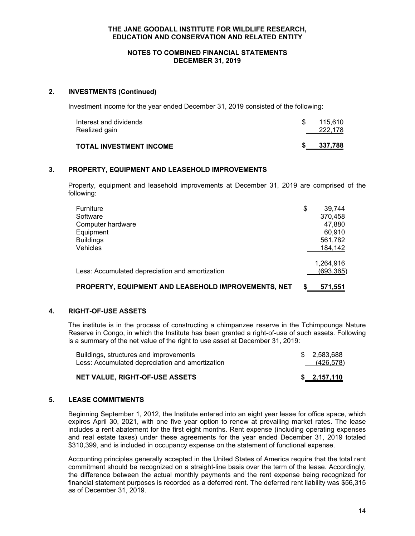#### **NOTES TO COMBINED FINANCIAL STATEMENTS DECEMBER 31, 2019**

## **2. INVESTMENTS (Continued)**

Investment income for the year ended December 31, 2019 consisted of the following:

| Interest and dividends<br>Realized gain | 115.610<br>222,178 |
|-----------------------------------------|--------------------|
| TOTAL INVESTMENT INCOME                 | 337,788            |

## **3. PROPERTY, EQUIPMENT AND LEASEHOLD IMPROVEMENTS**

Property, equipment and leasehold improvements at December 31, 2019 are comprised of the following:

| Furniture                                           | \$<br>39.744 |
|-----------------------------------------------------|--------------|
| Software                                            | 370,458      |
| Computer hardware                                   | 47,880       |
| Equipment                                           | 60.910       |
| <b>Buildings</b>                                    | 561,782      |
| Vehicles                                            | 184,142      |
|                                                     | 1,264,916    |
| Less: Accumulated depreciation and amortization     | (693, 365)   |
| PROPERTY, EQUIPMENT AND LEASEHOLD IMPROVEMENTS, NET | 571,551      |

## **4. RIGHT-OF-USE ASSETS**

The institute is in the process of constructing a chimpanzee reserve in the Tchimpounga Nature Reserve in Congo, in which the Institute has been granted a right-of-use of such assets. Following is a summary of the net value of the right to use asset at December 31, 2019:

| Buildings, structures and improvements<br>Less: Accumulated depreciation and amortization | \$ 2.583.688<br>(426,578) |
|-------------------------------------------------------------------------------------------|---------------------------|
| NET VALUE, RIGHT-OF-USE ASSETS                                                            | \$2,157,110               |

#### **5. LEASE COMMITMENTS**

Beginning September 1, 2012, the Institute entered into an eight year lease for office space, which expires April 30, 2021, with one five year option to renew at prevailing market rates. The lease includes a rent abatement for the first eight months. Rent expense (including operating expenses and real estate taxes) under these agreements for the year ended December 31, 2019 totaled \$310,399, and is included in occupancy expense on the statement of functional expense.

Accounting principles generally accepted in the United States of America require that the total rent commitment should be recognized on a straight-line basis over the term of the lease. Accordingly, the difference between the actual monthly payments and the rent expense being recognized for financial statement purposes is recorded as a deferred rent. The deferred rent liability was \$56,315 as of December 31, 2019.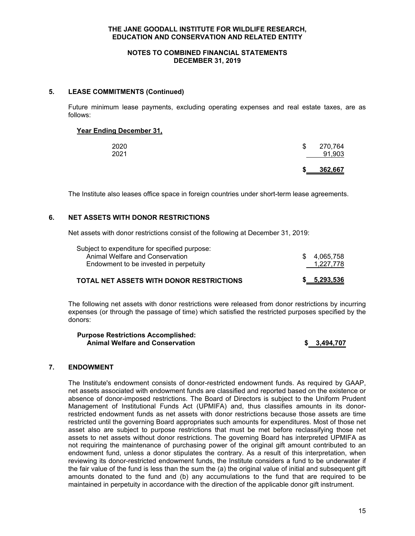#### **NOTES TO COMBINED FINANCIAL STATEMENTS DECEMBER 31, 2019**

## **5. LEASE COMMITMENTS (Continued)**

Future minimum lease payments, excluding operating expenses and real estate taxes, are as follows:

#### **Year Ending December 31,**

|      | S  | 362,667 |
|------|----|---------|
| 2021 |    | 91,903  |
| 2020 | \$ | 270,764 |
|      |    |         |

The Institute also leases office space in foreign countries under short-term lease agreements.

## **6. NET ASSETS WITH DONOR RESTRICTIONS**

Net assets with donor restrictions consist of the following at December 31, 2019:

| Subject to expenditure for specified purpose: |             |
|-----------------------------------------------|-------------|
| Animal Welfare and Conservation               | \$4.065.758 |
| Endowment to be invested in perpetuity        | 1,227,778   |
|                                               |             |

## **TOTAL NET ASSETS WITH DONOR RESTRICTIONS \$ 5,293,536**

The following net assets with donor restrictions were released from donor restrictions by incurring expenses (or through the passage of time) which satisfied the restricted purposes specified by the donors:

**Purpose Restrictions Accomplished: Animal Welfare and Conservation \$ 3,494,707**

#### **7. ENDOWMENT**

The Institute's endowment consists of donor-restricted endowment funds. As required by GAAP, net assets associated with endowment funds are classified and reported based on the existence or absence of donor-imposed restrictions. The Board of Directors is subject to the Uniform Prudent Management of Institutional Funds Act (UPMIFA) and, thus classifies amounts in its donorrestricted endowment funds as net assets with donor restrictions because those assets are time restricted until the governing Board appropriates such amounts for expenditures. Most of those net asset also are subject to purpose restrictions that must be met before reclassifying those net assets to net assets without donor restrictions. The governing Board has interpreted UPMIFA as not requiring the maintenance of purchasing power of the original gift amount contributed to an endowment fund, unless a donor stipulates the contrary. As a result of this interpretation, when reviewing its donor-restricted endowment funds, the Institute considers a fund to be underwater if the fair value of the fund is less than the sum the (a) the original value of initial and subsequent gift amounts donated to the fund and (b) any accumulations to the fund that are required to be maintained in perpetuity in accordance with the direction of the applicable donor gift instrument.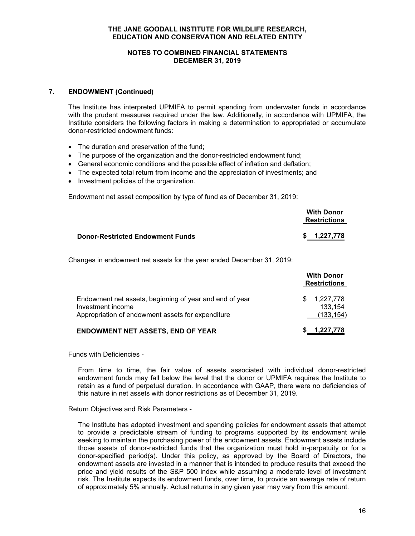#### **NOTES TO COMBINED FINANCIAL STATEMENTS DECEMBER 31, 2019**

## **7. ENDOWMENT (Continued)**

The Institute has interpreted UPMIFA to permit spending from underwater funds in accordance with the prudent measures required under the law. Additionally, in accordance with UPMIFA, the Institute considers the following factors in making a determination to appropriated or accumulate donor-restricted endowment funds:

- The duration and preservation of the fund;
- The purpose of the organization and the donor-restricted endowment fund;
- General economic conditions and the possible effect of inflation and deflation;
- The expected total return from income and the appreciation of investments; and
- Investment policies of the organization.

Endowment net asset composition by type of fund as of December 31, 2019:

|                                         | <b>With Donor</b><br><b>Restrictions</b> |  |
|-----------------------------------------|------------------------------------------|--|
| <b>Donor-Restricted Endowment Funds</b> | \$ 1,227,778                             |  |

Changes in endowment net assets for the year ended December 31, 2019:

|                                                                                                                                   |     | <b>With Donor</b><br><b>Restrictions</b> |
|-----------------------------------------------------------------------------------------------------------------------------------|-----|------------------------------------------|
| Endowment net assets, beginning of year and end of year<br>Investment income<br>Appropriation of endowment assets for expenditure | \$. | 1,227,778<br>133.154<br>(133, 154)       |
| <b>ENDOWMENT NET ASSETS, END OF YEAR</b>                                                                                          |     | 1,227,778                                |

Funds with Deficiencies -

From time to time, the fair value of assets associated with individual donor-restricted endowment funds may fall below the level that the donor or UPMIFA requires the Institute to retain as a fund of perpetual duration. In accordance with GAAP, there were no deficiencies of this nature in net assets with donor restrictions as of December 31, 2019.

#### Return Objectives and Risk Parameters -

The Institute has adopted investment and spending policies for endowment assets that attempt to provide a predictable stream of funding to programs supported by its endowment while seeking to maintain the purchasing power of the endowment assets. Endowment assets include those assets of donor-restricted funds that the organization must hold in-perpetuity or for a donor-specified period(s). Under this policy, as approved by the Board of Directors, the endowment assets are invested in a manner that is intended to produce results that exceed the price and yield results of the S&P 500 index while assuming a moderate level of investment risk. The Institute expects its endowment funds, over time, to provide an average rate of return of approximately 5% annually. Actual returns in any given year may vary from this amount.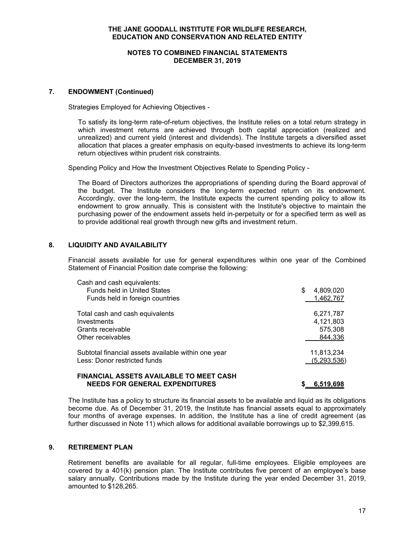#### **NOTES TO COMBINED FINANCIAL STATEMENTS DECEMBER 31, 2019**

## **7. ENDOWMENT (Continued)**

Strategies Employed for Achieving Objectives -

To satisfy its long-term rate-of-return objectives, the Institute relies on a total return strategy in which investment returns are achieved through both capital appreciation (realized and unrealized) and current yield (interest and dividends). The Institute targets a diversified asset allocation that places a greater emphasis on equity-based investments to achieve its long-term return objectives within prudent risk constraints.

Spending Policy and How the Investment Objectives Relate to Spending Policy -

The Board of Directors authorizes the appropriations of spending during the Board approval of the budget. The Institute considers the long-term expected return on its endowment. Accordingly, over the long-term, the Institute expects the current spending policy to allow its endowment to grow annually. This is consistent with the Institute's objective to maintain the purchasing power of the endowment assets held in-perpetuity or for a specified term as well as to provide additional real growth through new gifts and investment return.

## **8. LIQUIDITY AND AVAILABILITY**

Financial assets available for use for general expenditures within one year of the Combined Statement of Financial Position date comprise the following:

| Cash and cash equivalents:                                                                                                                                                                                                                                                                                                                                                                                                                                                                                                                                                                                                                                                                                                                                              |                |
|-------------------------------------------------------------------------------------------------------------------------------------------------------------------------------------------------------------------------------------------------------------------------------------------------------------------------------------------------------------------------------------------------------------------------------------------------------------------------------------------------------------------------------------------------------------------------------------------------------------------------------------------------------------------------------------------------------------------------------------------------------------------------|----------------|
| <b>Funds held in United States</b>                                                                                                                                                                                                                                                                                                                                                                                                                                                                                                                                                                                                                                                                                                                                      | 4,809,020<br>S |
| Funds held in foreign countries                                                                                                                                                                                                                                                                                                                                                                                                                                                                                                                                                                                                                                                                                                                                         | 1,462,767      |
| Total cash and cash equivalents                                                                                                                                                                                                                                                                                                                                                                                                                                                                                                                                                                                                                                                                                                                                         | 6,271,787      |
| Investments                                                                                                                                                                                                                                                                                                                                                                                                                                                                                                                                                                                                                                                                                                                                                             | 4,121,803      |
| Grants receivable                                                                                                                                                                                                                                                                                                                                                                                                                                                                                                                                                                                                                                                                                                                                                       | 575,308        |
| Other receivables                                                                                                                                                                                                                                                                                                                                                                                                                                                                                                                                                                                                                                                                                                                                                       | 844,336        |
| Subtotal financial assets available within one year                                                                                                                                                                                                                                                                                                                                                                                                                                                                                                                                                                                                                                                                                                                     | 11,813,234     |
| Less: Donor restricted funds                                                                                                                                                                                                                                                                                                                                                                                                                                                                                                                                                                                                                                                                                                                                            | (5,293,536)    |
| $\begin{smallmatrix} \bullet\end{smallmatrix}\begin{smallmatrix} \bullet\end{smallmatrix}\begin{smallmatrix} \bullet\end{smallmatrix}\begin{smallmatrix} \bullet\end{smallmatrix}\begin{smallmatrix} \bullet\end{smallmatrix}\begin{smallmatrix} \bullet\end{smallmatrix}\begin{smallmatrix} \bullet\end{smallmatrix}\begin{smallmatrix} \bullet\end{smallmatrix}\begin{smallmatrix} \bullet\end{smallmatrix}\begin{smallmatrix} \bullet\end{smallmatrix}\begin{smallmatrix} \bullet\end{smallmatrix}\begin{smallmatrix} \bullet\end{smallmatrix}\begin{smallmatrix} \bullet\end{smallmatrix}\begin{smallmatrix} \bullet\end{smallmatrix}\begin{smallmatrix} \bullet\end{smallmatrix}\begin{smallmatrix} \bullet\end{smallmatrix}\begin{smallmatrix} \bullet\end{small$ |                |

#### **FINANCIAL ASSETS AVAILABLE TO MEET CASH NEEDS FOR GENERAL EXPENDITURES \$ 6,519,698**

The Institute has a policy to structure its financial assets to be available and liquid as its obligations become due. As of December 31, 2019, the Institute has financial assets equal to approximately four months of average expenses. In addition, the Institute has a line of credit agreement (as further discussed in Note 11) which allows for additional available borrowings up to \$2,399,615.

## **9. RETIREMENT PLAN**

Retirement benefits are available for all regular, full-time employees. Eligible employees are covered by a 401(k) pension plan. The Institute contributes five percent of an employee's base salary annually. Contributions made by the Institute during the year ended December 31, 2019, amounted to \$128,265.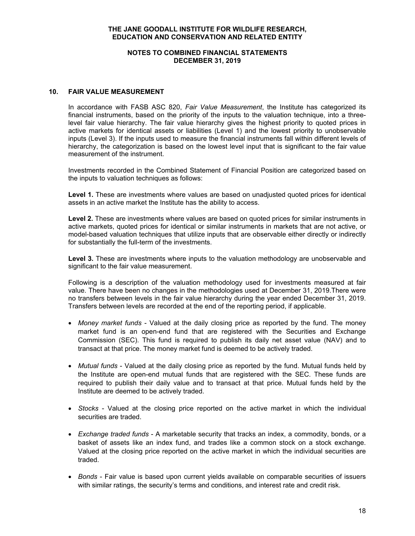#### **NOTES TO COMBINED FINANCIAL STATEMENTS DECEMBER 31, 2019**

## **10. FAIR VALUE MEASUREMENT**

In accordance with FASB ASC 820, *Fair Value Measurement*, the Institute has categorized its financial instruments, based on the priority of the inputs to the valuation technique, into a threelevel fair value hierarchy. The fair value hierarchy gives the highest priority to quoted prices in active markets for identical assets or liabilities (Level 1) and the lowest priority to unobservable inputs (Level 3). If the inputs used to measure the financial instruments fall within different levels of hierarchy, the categorization is based on the lowest level input that is significant to the fair value measurement of the instrument.

Investments recorded in the Combined Statement of Financial Position are categorized based on the inputs to valuation techniques as follows:

**Level 1.** These are investments where values are based on unadjusted quoted prices for identical assets in an active market the Institute has the ability to access.

**Level 2.** These are investments where values are based on quoted prices for similar instruments in active markets, quoted prices for identical or similar instruments in markets that are not active, or model-based valuation techniques that utilize inputs that are observable either directly or indirectly for substantially the full-term of the investments.

**Level 3.** These are investments where inputs to the valuation methodology are unobservable and significant to the fair value measurement.

Following is a description of the valuation methodology used for investments measured at fair value. There have been no changes in the methodologies used at December 31, 2019.There were no transfers between levels in the fair value hierarchy during the year ended December 31, 2019. Transfers between levels are recorded at the end of the reporting period, if applicable.

- *Money market funds* Valued at the daily closing price as reported by the fund. The money market fund is an open-end fund that are registered with the Securities and Exchange Commission (SEC). This fund is required to publish its daily net asset value (NAV) and to transact at that price. The money market fund is deemed to be actively traded.
- *Mutual funds* Valued at the daily closing price as reported by the fund. Mutual funds held by the Institute are open-end mutual funds that are registered with the SEC. These funds are required to publish their daily value and to transact at that price. Mutual funds held by the Institute are deemed to be actively traded.
- *Stocks* Valued at the closing price reported on the active market in which the individual securities are traded.
- *Exchange traded funds* A marketable security that tracks an index, a commodity, bonds, or a basket of assets like an index fund, and trades like a common stock on a stock exchange. Valued at the closing price reported on the active market in which the individual securities are traded.
- *Bonds* Fair value is based upon current yields available on comparable securities of issuers with similar ratings, the security's terms and conditions, and interest rate and credit risk.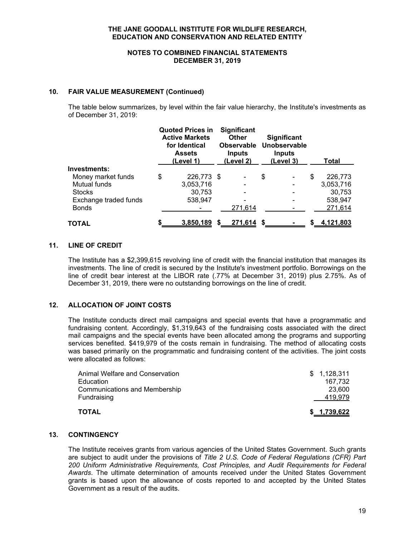#### **NOTES TO COMBINED FINANCIAL STATEMENTS DECEMBER 31, 2019**

## **10. FAIR VALUE MEASUREMENT (Continued)**

The table below summarizes, by level within the fair value hierarchy, the Institute's investments as of December 31, 2019:

|                       | <b>Quoted Prices in</b><br><b>Active Markets</b><br>for Identical<br><b>Assets</b><br>(Level 1) | <b>Significant</b><br><b>Other</b><br><b>Observable</b><br><b>Inputs</b><br>(Level 2) | <b>Significant</b><br>Unobservable<br><b>Inputs</b><br>(Level 3) |    | Total     |
|-----------------------|-------------------------------------------------------------------------------------------------|---------------------------------------------------------------------------------------|------------------------------------------------------------------|----|-----------|
| Investments:          |                                                                                                 |                                                                                       |                                                                  |    |           |
| Money market funds    | \$<br>226,773 \$                                                                                | -                                                                                     | \$                                                               | \$ | 226,773   |
| <b>Mutual funds</b>   | 3,053,716                                                                                       | -                                                                                     |                                                                  |    | 3,053,716 |
| <b>Stocks</b>         | 30.753                                                                                          |                                                                                       |                                                                  |    | 30,753    |
| Exchange traded funds | 538,947                                                                                         | -                                                                                     |                                                                  |    | 538,947   |
| <b>Bonds</b>          |                                                                                                 | 271,614                                                                               |                                                                  |    | 271,614   |
| <b>TOTAL</b>          | 3,850,189                                                                                       | \$<br><u>271,614</u>                                                                  |                                                                  | S. | 4,121,803 |

## **11. LINE OF CREDIT**

The Institute has a \$2,399,615 revolving line of credit with the financial institution that manages its investments. The line of credit is secured by the Institute's investment portfolio. Borrowings on the line of credit bear interest at the LIBOR rate (.77% at December 31, 2019) plus 2.75%. As of December 31, 2019, there were no outstanding borrowings on the line of credit.

## **12. ALLOCATION OF JOINT COSTS**

The Institute conducts direct mail campaigns and special events that have a programmatic and fundraising content. Accordingly, \$1,319,643 of the fundraising costs associated with the direct mail campaigns and the special events have been allocated among the programs and supporting services benefited. \$419,979 of the costs remain in fundraising. The method of allocating costs was based primarily on the programmatic and fundraising content of the activities. The joint costs were allocated as follows:

| <b>TOTAL</b>                         | \$1,739,622 |
|--------------------------------------|-------------|
| Fundraising                          | 419.979     |
| <b>Communications and Membership</b> | 23,600      |
| Education                            | 167,732     |
| Animal Welfare and Conservation      | \$1,128,311 |

## **13. CONTINGENCY**

The Institute receives grants from various agencies of the United States Government. Such grants are subject to audit under the provisions of *Title 2 U.S. Code of Federal Regulations (CFR) Part 200 Uniform Administrative Requirements, Cost Principles, and Audit Requirements for Federal Awards*. The ultimate determination of amounts received under the United States Government grants is based upon the allowance of costs reported to and accepted by the United States Government as a result of the audits.